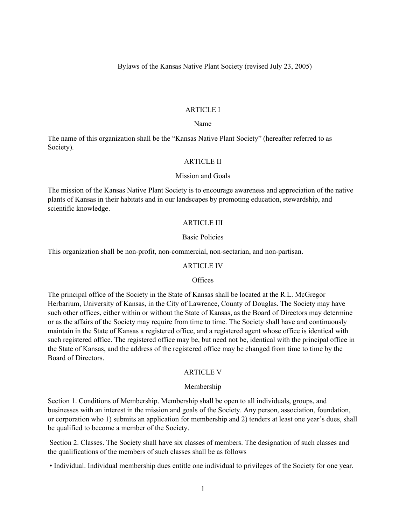Bylaws of the Kansas Native Plant Society (revised July 23, 2005)

## ARTICLE I

### Name

The name of this organization shall be the "Kansas Native Plant Society" (hereafter referred to as Society).

#### ARTICLE II

### Mission and Goals

The mission of the Kansas Native Plant Society is to encourage awareness and appreciation of the native plants of Kansas in their habitats and in our landscapes by promoting education, stewardship, and scientific knowledge.

# ARTICLE III

## Basic Policies

This organization shall be non-profit, non-commercial, non-sectarian, and non-partisan.

#### ARTICLE IV

#### **Offices**

The principal office of the Society in the State of Kansas shall be located at the R.L. McGregor Herbarium, University of Kansas, in the City of Lawrence, County of Douglas. The Society may have such other offices, either within or without the State of Kansas, as the Board of Directors may determine or as the affairs of the Society may require from time to time. The Society shall have and continuously maintain in the State of Kansas a registered office, and a registered agent whose office is identical with such registered office. The registered office may be, but need not be, identical with the principal office in the State of Kansas, and the address of the registered office may be changed from time to time by the Board of Directors.

#### ARTICLE V

#### Membership

Section 1. Conditions of Membership. Membership shall be open to all individuals, groups, and businesses with an interest in the mission and goals of the Society. Any person, association, foundation, or corporation who 1) submits an application for membership and 2) tenders at least one year's dues, shall be qualified to become a member of the Society.

Section 2. Classes. The Society shall have six classes of members. The designation of such classes and the qualifications of the members of such classes shall be as follows

• Individual. Individual membership dues entitle one individual to privileges of the Society for one year.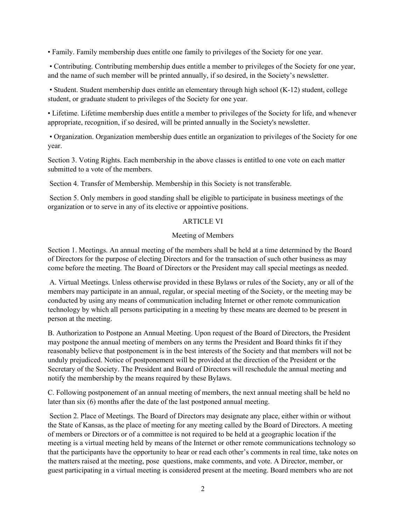• Family. Family membership dues entitle one family to privileges of the Society for one year.

• Contributing. Contributing membership dues entitle a member to privileges of the Society for one year, and the name of such member will be printed annually, if so desired, in the Society's newsletter.

• Student. Student membership dues entitle an elementary through high school (K-12) student, college student, or graduate student to privileges of the Society for one year.

• Lifetime. Lifetime membership dues entitle a member to privileges of the Society for life, and whenever appropriate, recognition, if so desired, will be printed annually in the Society's newsletter.

• Organization. Organization membership dues entitle an organization to privileges of the Society for one year.

Section 3. Voting Rights. Each membership in the above classes is entitled to one vote on each matter submitted to a vote of the members.

Section 4. Transfer of Membership. Membership in this Society is not transferable.

Section 5. Only members in good standing shall be eligible to participate in business meetings of the organization or to serve in any of its elective or appointive positions.

# ARTICLE VI

# Meeting of Members

Section 1. Meetings. An annual meeting of the members shall be held at a time determined by the Board of Directors for the purpose of electing Directors and for the transaction of such other business as may come before the meeting. The Board of Directors or the President may call special meetings as needed.

A. Virtual Meetings. Unless otherwise provided in these Bylaws or rules of the Society, any or all of the members may participate in an annual, regular, or special meeting of the Society, or the meeting may be conducted by using any means of communication including Internet or other remote communication technology by which all persons participating in a meeting by these means are deemed to be present in person at the meeting.

B. Authorization to Postpone an Annual Meeting. Upon request of the Board of Directors, the President may postpone the annual meeting of members on any terms the President and Board thinks fit if they reasonably believe that postponement is in the best interests of the Society and that members will not be unduly prejudiced. Notice of postponement will be provided at the direction of the President or the Secretary of the Society. The President and Board of Directors will reschedule the annual meeting and notify the membership by the means required by these Bylaws.

C. Following postponement of an annual meeting of members, the next annual meeting shall be held no later than six (6) months after the date of the last postponed annual meeting.

Section 2. Place of Meetings. The Board of Directors may designate any place, either within or without the State of Kansas, as the place of meeting for any meeting called by the Board of Directors. A meeting of members or Directors or of a committee is not required to be held at a geographic location if the meeting is a virtual meeting held by means of the Internet or other remote communications technology so that the participants have the opportunity to hear or read each other's comments in real time, take notes on the matters raised at the meeting, pose questions, make comments, and vote. A Director, member, or guest participating in a virtual meeting is considered present at the meeting. Board members who are not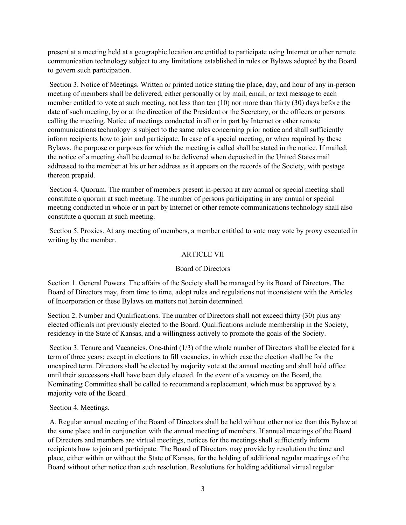present at a meeting held at a geographic location are entitled to participate using Internet or other remote communication technology subject to any limitations established in rules or Bylaws adopted by the Board to govern such participation.

Section 3. Notice of Meetings. Written or printed notice stating the place, day, and hour of any in-person meeting of members shall be delivered, either personally or by mail, email, or text message to each member entitled to vote at such meeting, not less than ten (10) nor more than thirty (30) days before the date of such meeting, by or at the direction of the President or the Secretary, or the officers or persons calling the meeting. Notice of meetings conducted in all or in part by Internet or other remote communications technology is subject to the same rules concerning prior notice and shall sufficiently inform recipients how to join and participate. In case of a special meeting, or when required by these Bylaws, the purpose or purposes for which the meeting is called shall be stated in the notice. If mailed, the notice of a meeting shall be deemed to be delivered when deposited in the United States mail addressed to the member at his or her address as it appears on the records of the Society, with postage thereon prepaid.

Section 4. Quorum. The number of members present in-person at any annual or special meeting shall constitute a quorum at such meeting. The number of persons participating in any annual or special meeting conducted in whole or in part by Internet or other remote communications technology shall also constitute a quorum at such meeting.

Section 5. Proxies. At any meeting of members, a member entitled to vote may vote by proxy executed in writing by the member.

# ARTICLE VII

# Board of Directors

Section 1. General Powers. The affairs of the Society shall be managed by its Board of Directors. The Board of Directors may, from time to time, adopt rules and regulations not inconsistent with the Articles of Incorporation or these Bylaws on matters not herein determined.

Section 2. Number and Qualifications. The number of Directors shall not exceed thirty (30) plus any elected officials not previously elected to the Board. Qualifications include membership in the Society, residency in the State of Kansas, and a willingness actively to promote the goals of the Society.

Section 3. Tenure and Vacancies. One-third (1/3) of the whole number of Directors shall be elected for a term of three years; except in elections to fill vacancies, in which case the election shall be for the unexpired term. Directors shall be elected by majority vote at the annual meeting and shall hold office until their successors shall have been duly elected. In the event of a vacancy on the Board, the Nominating Committee shall be called to recommend a replacement, which must be approved by a majority vote of the Board.

# Section 4. Meetings.

A. Regular annual meeting of the Board of Directors shall be held without other notice than this Bylaw at the same place and in conjunction with the annual meeting of members. If annual meetings of the Board of Directors and members are virtual meetings, notices for the meetings shall sufficiently inform recipients how to join and participate. The Board of Directors may provide by resolution the time and place, either within or without the State of Kansas, for the holding of additional regular meetings of the Board without other notice than such resolution. Resolutions for holding additional virtual regular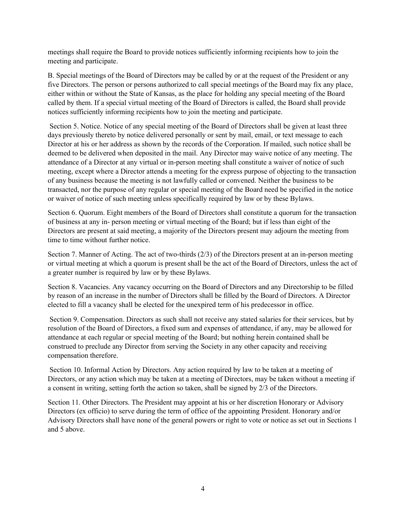meetings shall require the Board to provide notices sufficiently informing recipients how to join the meeting and participate.

B. Special meetings of the Board of Directors may be called by or at the request of the President or any five Directors. The person or persons authorized to call special meetings of the Board may fix any place, either within or without the State of Kansas, as the place for holding any special meeting of the Board called by them. If a special virtual meeting of the Board of Directors is called, the Board shall provide notices sufficiently informing recipients how to join the meeting and participate.

Section 5. Notice. Notice of any special meeting of the Board of Directors shall be given at least three days previously thereto by notice delivered personally or sent by mail, email, or text message to each Director at his or her address as shown by the records of the Corporation. If mailed, such notice shall be deemed to be delivered when deposited in the mail. Any Director may waive notice of any meeting. The attendance of a Director at any virtual or in-person meeting shall constitute a waiver of notice of such meeting, except where a Director attends a meeting for the express purpose of objecting to the transaction of any business because the meeting is not lawfully called or convened. Neither the business to be transacted, nor the purpose of any regular or special meeting of the Board need be specified in the notice or waiver of notice of such meeting unless specifically required by law or by these Bylaws.

Section 6. Quorum. Eight members of the Board of Directors shall constitute a quorum for the transaction of business at any in- person meeting or virtual meeting of the Board; but if less than eight of the Directors are present at said meeting, a majority of the Directors present may adjourn the meeting from time to time without further notice.

Section 7. Manner of Acting. The act of two-thirds (2/3) of the Directors present at an in-person meeting or virtual meeting at which a quorum is present shall be the act of the Board of Directors, unless the act of a greater number is required by law or by these Bylaws.

Section 8. Vacancies. Any vacancy occurring on the Board of Directors and any Directorship to be filled by reason of an increase in the number of Directors shall be filled by the Board of Directors. A Director elected to fill a vacancy shall be elected for the unexpired term of his predecessor in office.

Section 9. Compensation. Directors as such shall not receive any stated salaries for their services, but by resolution of the Board of Directors, a fixed sum and expenses of attendance, if any, may be allowed for attendance at each regular or special meeting of the Board; but nothing herein contained shall be construed to preclude any Director from serving the Society in any other capacity and receiving compensation therefore.

Section 10. Informal Action by Directors. Any action required by law to be taken at a meeting of Directors, or any action which may be taken at a meeting of Directors, may be taken without a meeting if a consent in writing, setting forth the action so taken, shall be signed by 2/3 of the Directors.

Section 11. Other Directors. The President may appoint at his or her discretion Honorary or Advisory Directors (ex officio) to serve during the term of office of the appointing President. Honorary and/or Advisory Directors shall have none of the general powers or right to vote or notice as set out in Sections 1 and 5 above.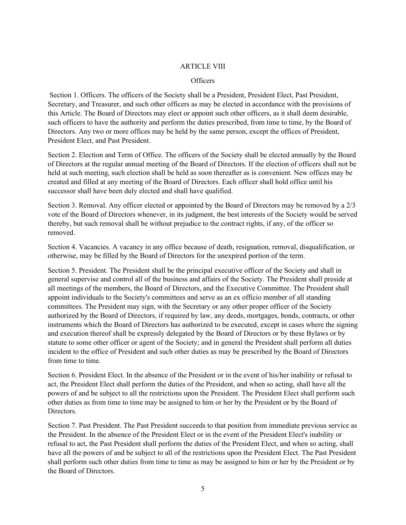## ARTICLE VIII

# **Officers**

Section 1. Officers. The officers of the Society shall be a President, President Elect, Past President, Secretary, and Treasurer, and such other officers as may be elected in accordance with the provisions of this Article. The Board of Directors may elect or appoint such other officers, as it shall deem desirable, such officers to have the authority and perform the duties prescribed, from time to time, by the Board of Directors. Any two or more offices may be held by the same person, except the offices of President, President Elect, and Past President.

Section 2. Election and Term of Office. The officers of the Society shall be elected annually by the Board of Directors at the regular annual meeting of the Board of Directors. If the election of officers shall not be held at such meeting, such election shall be held as soon thereafter as is convenient. New offices may be created and filled at any meeting of the Board of Directors. Each officer shall hold office until his successor shall have been duly elected and shall have qualified.

Section 3. Removal. Any officer elected or appointed by the Board of Directors may be removed by a 2/3 vote of the Board of Directors whenever, in its judgment, the best interests of the Society would be served thereby, but such removal shall be without prejudice to the contract rights, if any, of the officer so removed.

Section 4. Vacancies. A vacancy in any office because of death, resignation, removal, disqualification, or otherwise, may be filled by the Board of Directors for the unexpired portion of the term.

Section 5. President. The President shall be the principal executive officer of the Society and shall in general supervise and control all of the business and affairs of the Society. The President shall preside at all meetings of the members, the Board of Directors, and the Executive Committee. The President shall appoint individuals to the Society's committees and serve as an ex officio member of all standing committees. The President may sign, with the Secretary or any other proper officer of the Society authorized by the Board of Directors, if required by law, any deeds, mortgages, bonds, contracts, or other instruments which the Board of Directors has authorized to be executed, except in cases where the signing and execution thereof shall be expressly delegated by the Board of Directors or by these Bylaws or by statute to some other officer or agent of the Society; and in general the President shall perform all duties incident to the office of President and such other duties as may be prescribed by the Board of Directors from time to time.

Section 6. President Elect. In the absence of the President or in the event of his/her inability or refusal to act, the President Elect shall perform the duties of the President, and when so acting, shall have all the powers of and be subject to all the restrictions upon the President. The President Elect shall perform such other duties as from time to time may be assigned to him or her by the President or by the Board of Directors.

Section 7. Past President. The Past President succeeds to that position from immediate previous service as the President. In the absence of the President Elect or in the event of the President Elect's inability or refusal to act, the Past President shall perform the duties of the President Elect, and when so acting, shall have all the powers of and be subject to all of the restrictions upon the President Elect. The Past President shall perform such other duties from time to time as may be assigned to him or her by the President or by the Board of Directors.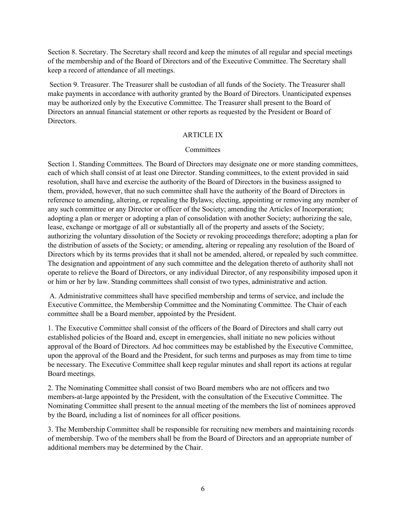Section 8. Secretary. The Secretary shall record and keep the minutes of all regular and special meetings of the membership and of the Board of Directors and of the Executive Committee. The Secretary shall keep a record of attendance of all meetings.

Section 9. Treasurer. The Treasurer shall be custodian of all funds of the Society. The Treasurer shall make payments in accordance with authority granted by the Board of Directors. Unanticipated expenses may be authorized only by the Executive Committee. The Treasurer shall present to the Board of Directors an annual financial statement or other reports as requested by the President or Board of Directors.

# ARTICLE IX

## **Committees**

Section 1. Standing Committees. The Board of Directors may designate one or more standing committees, each of which shall consist of at least one Director. Standing committees, to the extent provided in said resolution, shall have and exercise the authority of the Board of Directors in the business assigned to them, provided, however, that no such committee shall have the authority of the Board of Directors in reference to amending, altering, or repealing the Bylaws; electing, appointing or removing any member of any such committee or any Director or officer of the Society; amending the Articles of Incorporation; adopting a plan or merger or adopting a plan of consolidation with another Society; authorizing the sale, lease, exchange or mortgage of all or substantially all of the property and assets of the Society; authorizing the voluntary dissolution of the Society or revoking proceedings therefore; adopting a plan for the distribution of assets of the Society; or amending, altering or repealing any resolution of the Board of Directors which by its terms provides that it shall not be amended, altered, or repealed by such committee. The designation and appointment of any such committee and the delegation thereto of authority shall not operate to relieve the Board of Directors, or any individual Director, of any responsibility imposed upon it or him or her by law. Standing committees shall consist of two types, administrative and action.

A. Administrative committees shall have specified membership and terms of service, and include the Executive Committee, the Membership Committee and the Nominating Committee. The Chair of each committee shall be a Board member, appointed by the President.

1. The Executive Committee shall consist of the officers of the Board of Directors and shall carry out established policies of the Board and, except in emergencies, shall initiate no new policies without approval of the Board of Directors. Ad hoc committees may be established by the Executive Committee, upon the approval of the Board and the President, for such terms and purposes as may from time to time be necessary. The Executive Committee shall keep regular minutes and shall report its actions at regular Board meetings.

2. The Nominating Committee shall consist of two Board members who are not officers and two members-at-large appointed by the President, with the consultation of the Executive Committee. The Nominating Committee shall present to the annual meeting of the members the list of nominees approved by the Board, including a list of nominees for all officer positions.

3. The Membership Committee shall be responsible for recruiting new members and maintaining records of membership. Two of the members shall be from the Board of Directors and an appropriate number of additional members may be determined by the Chair.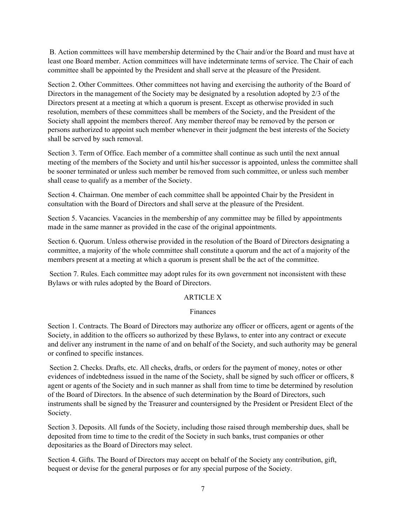B. Action committees will have membership determined by the Chair and/or the Board and must have at least one Board member. Action committees will have indeterminate terms of service. The Chair of each committee shall be appointed by the President and shall serve at the pleasure of the President.

Section 2. Other Committees. Other committees not having and exercising the authority of the Board of Directors in the management of the Society may be designated by a resolution adopted by 2/3 of the Directors present at a meeting at which a quorum is present. Except as otherwise provided in such resolution, members of these committees shall be members of the Society, and the President of the Society shall appoint the members thereof. Any member thereof may be removed by the person or persons authorized to appoint such member whenever in their judgment the best interests of the Society shall be served by such removal.

Section 3. Term of Office. Each member of a committee shall continue as such until the next annual meeting of the members of the Society and until his/her successor is appointed, unless the committee shall be sooner terminated or unless such member be removed from such committee, or unless such member shall cease to qualify as a member of the Society.

Section 4. Chairman. One member of each committee shall be appointed Chair by the President in consultation with the Board of Directors and shall serve at the pleasure of the President.

Section 5. Vacancies. Vacancies in the membership of any committee may be filled by appointments made in the same manner as provided in the case of the original appointments.

Section 6. Quorum. Unless otherwise provided in the resolution of the Board of Directors designating a committee, a majority of the whole committee shall constitute a quorum and the act of a majority of the members present at a meeting at which a quorum is present shall be the act of the committee.

Section 7. Rules. Each committee may adopt rules for its own government not inconsistent with these Bylaws or with rules adopted by the Board of Directors.

# ARTICLE X

## Finances

Section 1. Contracts. The Board of Directors may authorize any officer or officers, agent or agents of the Society, in addition to the officers so authorized by these Bylaws, to enter into any contract or execute and deliver any instrument in the name of and on behalf of the Society, and such authority may be general or confined to specific instances.

Section 2. Checks. Drafts, etc. All checks, drafts, or orders for the payment of money, notes or other evidences of indebtedness issued in the name of the Society, shall be signed by such officer or officers, 8 agent or agents of the Society and in such manner as shall from time to time be determined by resolution of the Board of Directors. In the absence of such determination by the Board of Directors, such instruments shall be signed by the Treasurer and countersigned by the President or President Elect of the Society.

Section 3. Deposits. All funds of the Society, including those raised through membership dues, shall be deposited from time to time to the credit of the Society in such banks, trust companies or other depositaries as the Board of Directors may select.

Section 4. Gifts. The Board of Directors may accept on behalf of the Society any contribution, gift, bequest or devise for the general purposes or for any special purpose of the Society.